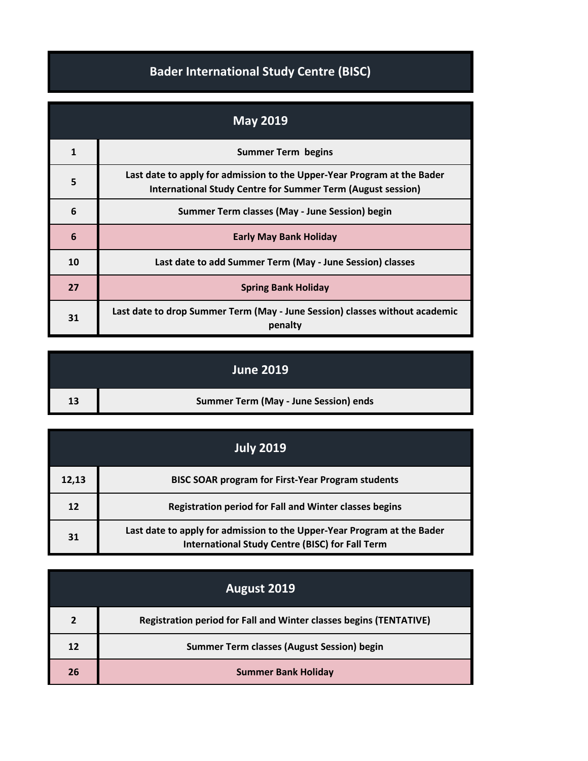## **Bader International Study Centre (BISC)**

| <b>May 2019</b> |                                                                                                                                               |
|-----------------|-----------------------------------------------------------------------------------------------------------------------------------------------|
| 1               | <b>Summer Term begins</b>                                                                                                                     |
| 5               | Last date to apply for admission to the Upper-Year Program at the Bader<br><b>International Study Centre for Summer Term (August session)</b> |
| 6               | Summer Term classes (May - June Session) begin                                                                                                |
| 6               | <b>Early May Bank Holiday</b>                                                                                                                 |
| 10              | Last date to add Summer Term (May - June Session) classes                                                                                     |
| 27              | <b>Spring Bank Holiday</b>                                                                                                                    |
| 31              | Last date to drop Summer Term (May - June Session) classes without academic<br>penalty                                                        |

|    | <b>June 2019</b>                      |
|----|---------------------------------------|
| 13 | Summer Term (May - June Session) ends |

|       | <u> Ju</u> ly 2019                                                                                                                |
|-------|-----------------------------------------------------------------------------------------------------------------------------------|
| 12,13 | <b>BISC SOAR program for First-Year Program students</b>                                                                          |
| 12    | <b>Registration period for Fall and Winter classes begins</b>                                                                     |
| 31    | Last date to apply for admission to the Upper-Year Program at the Bader<br><b>International Study Centre (BISC) for Fall Term</b> |

|                | August 2019                                                               |
|----------------|---------------------------------------------------------------------------|
| $\overline{2}$ | <b>Registration period for Fall and Winter classes begins (TENTATIVE)</b> |
| 12             | <b>Summer Term classes (August Session) begin</b>                         |
| 26             | <b>Summer Bank Holiday</b>                                                |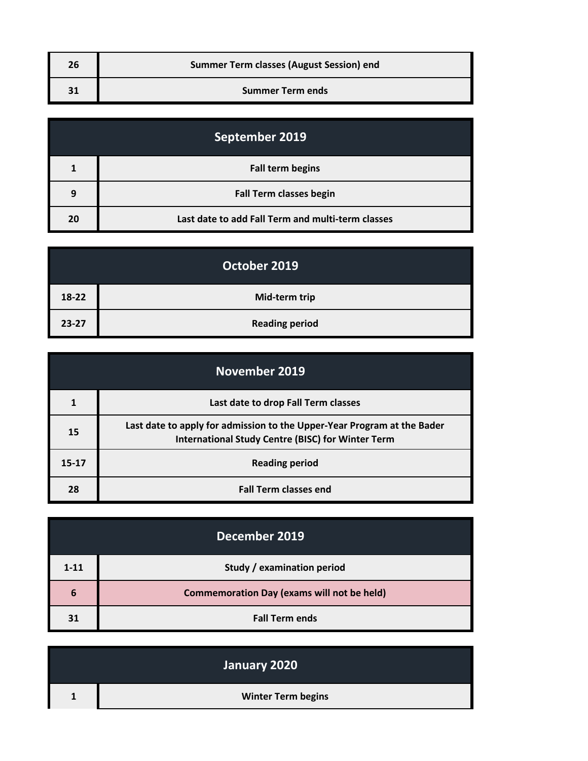| <b>Summer Term classes (August Session) end</b> |
|-------------------------------------------------|
| <b>Summer Term ends</b>                         |

| September 2019 |                                                   |
|----------------|---------------------------------------------------|
|                | <b>Fall term begins</b>                           |
| 9              | <b>Fall Term classes begin</b>                    |
| 20             | Last date to add Fall Term and multi-term classes |

|           | October 2019          |
|-----------|-----------------------|
| 18-22     | Mid-term trip         |
| $23 - 27$ | <b>Reading period</b> |

| November 2019 |                                                                                                                                     |
|---------------|-------------------------------------------------------------------------------------------------------------------------------------|
|               | Last date to drop Fall Term classes                                                                                                 |
| 15            | Last date to apply for admission to the Upper-Year Program at the Bader<br><b>International Study Centre (BISC) for Winter Term</b> |
| $15 - 17$     | <b>Reading period</b>                                                                                                               |
| 28            | <b>Fall Term classes end</b>                                                                                                        |

|          | December 2019                                     |
|----------|---------------------------------------------------|
| $1 - 11$ | Study / examination period                        |
| 6        | <b>Commemoration Day (exams will not be held)</b> |
| 31       | <b>Fall Term ends</b>                             |

| January 2020              |
|---------------------------|
| <b>Winter Term begins</b> |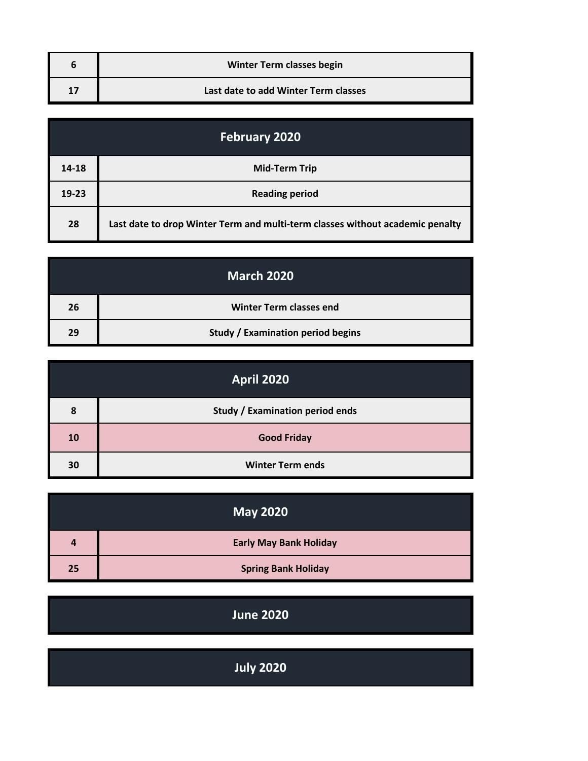| <b>Winter Term classes begin</b>     |
|--------------------------------------|
| Last date to add Winter Term classes |

| <b>February 2020</b> |                                                                               |
|----------------------|-------------------------------------------------------------------------------|
| 14-18                | <b>Mid-Term Trip</b>                                                          |
| $19 - 23$            | <b>Reading period</b>                                                         |
| 28                   | Last date to drop Winter Term and multi-term classes without academic penalty |

|    | <b>March 2020</b>                        |
|----|------------------------------------------|
| 26 | <b>Winter Term classes end</b>           |
| 29 | <b>Study / Examination period begins</b> |

|    | <b>April 2020</b>                      |
|----|----------------------------------------|
| 8  | <b>Study / Examination period ends</b> |
| 10 | <b>Good Friday</b>                     |
| 30 | <b>Winter Term ends</b>                |

|    | <b>May 2020</b>               |
|----|-------------------------------|
| 4  | <b>Early May Bank Holiday</b> |
| 25 | <b>Spring Bank Holiday</b>    |

| <b>June 2020</b> |  |
|------------------|--|
|                  |  |

| <b>July 2020</b> |  |
|------------------|--|
|                  |  |